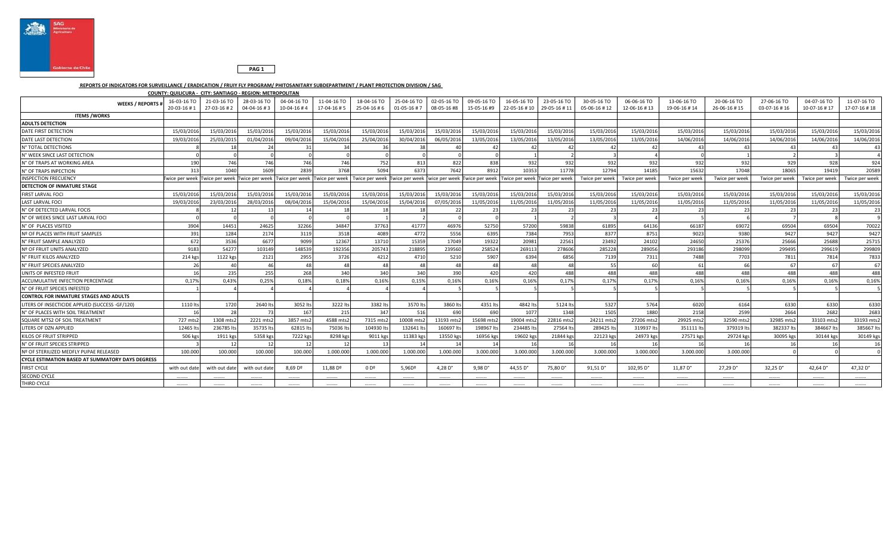



## **REPORTS OF INDICATORS FOR SURVEILLANCE / ERADICATION / FRUIY FLY PROGRAM/ PHITOSANITARY SUBDEPARTMENT / PLANT PROTECTION DIVISION / SAG**

| COUNTY: QUILICURA - CITY: SANTIAGO - REGION: METROPOLITAN |                           |                           |                           |                                                             |                           |                                                                                                          |                            |                            |                            |                                          |             |                             |                            |                             |                             |                             |                             |                             |
|-----------------------------------------------------------|---------------------------|---------------------------|---------------------------|-------------------------------------------------------------|---------------------------|----------------------------------------------------------------------------------------------------------|----------------------------|----------------------------|----------------------------|------------------------------------------|-------------|-----------------------------|----------------------------|-----------------------------|-----------------------------|-----------------------------|-----------------------------|-----------------------------|
| <b>WEEKS / REPORTS</b>                                    | 16-03-16 TO<br>20-03-16#1 | 21-03-16 TO<br>27-03-16#2 | 28-03-16 TO<br>04-04-16#3 | 04-04-16 TO<br>$10 - 04 - 16 + 4$                           | 11-04-16 TO<br>17-04-16#5 | 18-04-16 TO<br>25-04-16#6                                                                                | 25-04-16 TO<br>01-05-16 #7 | 02-05-16 TO<br>08-05-16 #8 | 09-05-16 TO<br>15-05-16 #9 | 16-05-16 TO<br>22-05-16 #10 29-05-16 #11 | 23-05-16 TO | 30-05-16 TO<br>05-06-16 #12 | 06-06-16 TO<br>12-06-16#13 | 13-06-16 TO<br>19-06-16 #14 | 20-06-16 TO<br>26-06-16 #15 | 27-06-16 TO<br>03-07-16 #16 | 04-07-16 TO<br>10-07-16 #17 | 11-07-16 TO<br>17-07-16 #18 |
| <b>ITEMS / WORKS</b>                                      |                           |                           |                           |                                                             |                           |                                                                                                          |                            |                            |                            |                                          |             |                             |                            |                             |                             |                             |                             |                             |
| <b>ADULTS DETECTION</b>                                   |                           |                           |                           |                                                             |                           |                                                                                                          |                            |                            |                            |                                          |             |                             |                            |                             |                             |                             |                             |                             |
| DATE FIRST DETECTION                                      | 15/03/2016                | 15/03/2016                | 15/03/2016                | 15/03/2016                                                  | 15/03/2016                | 15/03/2016                                                                                               | 15/03/2016                 | 15/03/2016                 | 15/03/2016                 | 15/03/2016                               | 15/03/201   | 15/03/2016                  | 15/03/2016                 | 15/03/2016                  | 15/03/2016                  | 15/03/2016                  | 15/03/2016                  | 15/03/2016                  |
| DATE LAST DETECTION                                       | 19/03/2016                | 25/03/2015                | 01/04/2016                | 09/04/2016                                                  | 15/04/2016                | 25/04/2016                                                                                               | 30/04/2016                 | 06/05/2016                 | 13/05/2016                 | 13/05/2016                               | 13/05/201   | 13/05/2016                  | 13/05/2016                 | 14/06/2016                  | 14/06/2016                  | 14/06/2016                  | 14/06/2016                  | 14/06/2016                  |
| N° TOTAL DETECTIONS                                       |                           |                           | $2\epsilon$               |                                                             | 34                        |                                                                                                          |                            |                            | 42                         | 47                                       |             |                             |                            |                             |                             |                             |                             |                             |
| N° WEEK SINCE LAST DETECTION                              |                           |                           |                           |                                                             |                           |                                                                                                          |                            |                            |                            |                                          |             |                             |                            |                             |                             |                             |                             |                             |
| N° OF TRAPS AT WORKING AREA                               | 190                       | 746                       | 746                       | 746                                                         | 746                       | 752                                                                                                      | 813                        | 822                        | 838                        | 932                                      | 932         | 932                         | 932                        | 932                         | 932                         | 929                         | 928                         | 924                         |
| N° OF TRAPS INPECTION                                     | 313                       | 1040                      | 1609                      | 2839                                                        | 3768                      | 5094                                                                                                     | 6373                       | 7642                       | 8912                       | 10353                                    | 11778       | 12794                       | 14185                      | 15632                       | 17048                       | 18065                       | 19419                       | 20589                       |
| <b>INSPECTION FRECUENCY</b>                               |                           |                           |                           | Twice per week Twice per week Twice per week Twice per week |                           | Twice per week Twice per week Twice per week Twice per week Twice per week Twice per week Twice per week |                            |                            |                            |                                          |             | Twice per week              | Twice per week             | Twice per week              | Twice per week              | Twice per week              | Twice per week              | Twice per week              |
| DETECTION OF INMATURE STAGE                               |                           |                           |                           |                                                             |                           |                                                                                                          |                            |                            |                            |                                          |             |                             |                            |                             |                             |                             |                             |                             |
| FIRST LARVAL FOCI                                         | 15/03/2016                | 15/03/2016                | 15/03/2016                | 15/03/2016                                                  | 15/03/2016                | 15/03/2016                                                                                               | 15/03/2016                 | 15/03/2016                 | 15/03/2016                 | 15/03/2016                               | 15/03/201   | 15/03/2016                  | 15/03/2016                 | 15/03/2016                  | 15/03/2016                  | 15/03/201                   | 15/03/2016                  | 15/03/2016                  |
| LAST LARVAL FOCI                                          | 19/03/201                 | 23/03/2016                | 28/03/2016                | 08/04/201                                                   | 15/04/2016                | 15/04/2016                                                                                               | 15/04/2016                 | 07/05/201                  | 11/05/2016                 | 11/05/2016                               | 11/05/201   | 11/05/2016                  | 11/05/2016                 | 11/05/2016                  | 11/05/2016                  | 11/05/201                   | 11/05/201                   | 11/05/2016                  |
| N° OF DETECTED LARVAL FOCIS                               |                           |                           |                           |                                                             |                           |                                                                                                          |                            |                            | 2.5                        | 23                                       |             |                             |                            |                             | 2 <sup>5</sup>              |                             |                             | 23                          |
| N° OF WEEKS SINCE LAST LARVAL FOCI                        |                           |                           |                           |                                                             |                           |                                                                                                          |                            |                            |                            |                                          |             |                             |                            |                             |                             |                             |                             |                             |
| N° OF PLACES VISITED                                      | 3904                      | 14451                     | 24625                     | 32266                                                       | 34847                     | 37763                                                                                                    | 41777                      | 46976                      | 52750                      | 57200                                    | 59838       | 61895                       | 64136                      | 66187                       | 69072                       | 69504                       | 69504                       | 70022                       |
| Nº OF PLACES WITH FRUIT SAMPLES                           | 391                       | 1284                      | 2174                      | 3119                                                        | 3518                      | 4089                                                                                                     | 4772                       | 5556                       | 6395                       | 7384                                     | 7953        | 8377                        | 8751                       | 9023                        | 9380                        | 9427                        | 9427                        | 9427                        |
| N° FRUIT SAMPLE ANALYZED                                  | 672                       | 3536                      | 6677                      | 9099                                                        | 12367                     | 13710                                                                                                    | 15359                      | 17049                      | 19322                      | 20981                                    | 22561       | 23492                       | 24102                      | 24650                       | 25376                       | 25666                       | 25688                       | 25715                       |
| Nº OF FRUIT UNITS ANALYZED                                | 9183                      | 54277                     | 103149                    | 148539                                                      | 192356                    | 205743                                                                                                   | 218895                     | 239560                     | 258524                     | 269113                                   | 278606      | 285228                      | 289056                     | 293186                      | 298099                      | 299495                      | 299619                      | 299809                      |
| N° FRUIT KILOS ANALYZED                                   | 214 kgs                   | 1122 kgs                  | 2121                      | 2955                                                        | 3726                      | 4212                                                                                                     | 4710                       | 5210                       | 5907                       | 6394                                     | 6856        | 7139                        | 7311                       | 7488                        | 7703                        | 7811                        | 781                         | 7833                        |
| N° FRUIT SPECIES ANALYZED                                 | 26                        | 40                        | 46                        |                                                             | 48                        | 48                                                                                                       | $\Delta$                   | 48                         | 48                         | 48                                       |             | 55                          | 60                         |                             | 66                          |                             |                             | 67                          |
| UNITS OF INFESTED FRUIT                                   | 16                        | 235                       | 255                       | 268                                                         | 340                       | 340                                                                                                      | 340                        | 390                        | 420                        | 420                                      | 488         | 488                         | 488                        | 488                         | 488                         | 488                         | 488                         | 488                         |
| ACCUMULATIVE INFECTION PERCENTAGE                         | 0,17%                     | 0,43%                     | 0,25%                     | 0,18%                                                       | 0,18%                     | 0,16%                                                                                                    | 0,15%                      | 0,16%                      | 0,16%                      | 0,16%                                    | 0,17%       | 0,17%                       | 0,17%                      | 0,16%                       | 0,16%                       | 0,16%                       | 0,16%                       | 0,16%                       |
| N° OF FRUIT SPECIES INFESTED                              |                           |                           |                           |                                                             |                           |                                                                                                          |                            |                            |                            |                                          |             |                             |                            |                             |                             |                             |                             |                             |
| <b>CONTROL FOR INMATURE STAGES AND ADULTS</b>             |                           |                           |                           |                                                             |                           |                                                                                                          |                            |                            |                            |                                          |             |                             |                            |                             |                             |                             |                             |                             |
| LITERS OF INSECTICIDE APPLIED (SUCCESS -GF/120)           | 1110 lts                  | 1720                      | 2640 lts                  | 3052 lt                                                     | 3222 lts                  | 3382 lts                                                                                                 | 3570 lt:                   | 3860 lts                   | 4351 lts                   | 4842 lts                                 | 5124 lt:    | 5327                        | 5764                       | 6020                        | 6164                        | 6330                        | 6330                        | 6330                        |
| N° OF PLACES WITH SOIL TREATMENT                          |                           | 28                        | 73                        | 167                                                         | 215                       | 347                                                                                                      | 516                        | 690                        | 690                        | 1077                                     | 1348        | 1505                        | 1880                       | 2158                        | 2599                        | 2664                        | 2682                        | 2683                        |
| SQUARE MTS2 OF SOIL TREATMENT                             | 727 mts2                  | 1308 mts2                 | 2221 mts2                 | 3857 mts.                                                   | 4588 mts2                 | 7315 mts2                                                                                                | 10008 mts2                 | 13193 mts2                 | 15698 mts2                 | 19004 mts2                               | 22816 mts   | 24211 mts2                  | 27206 mts2                 | 29925 mts2                  | 32590 mts2                  | 32985 mts2                  | 33103 mts.                  | 33193 mts2                  |
| LITERS OF DZN APPLIED                                     | 12465 lt                  | 236785 lt                 | 35735 lts                 | 62815 lt                                                    | 75036 lt:                 | 104930 lt:                                                                                               | 132641 lt                  | 160697                     | 198967 lt                  | 234485 lts                               | 27564 lt    | 289425 lts                  | 319937 lts                 | 351111 lts                  | 379319 lts                  | 382337 lt                   | 384667 lt                   | 385667 lts                  |
| KILOS OF FRUIT STRIPPED                                   | 506 kgs                   | 1911 kgs                  | 5358 kgs                  | 7222 kg                                                     | 8298 kgs                  | 9011 kgs                                                                                                 | 11383 kg                   | 13550 kgs                  | 16956 kgs                  | 19602 kgs                                | 21844 kg    | 22123 kgs                   | 24973 kgs                  | 27571 kgs                   | 29724 kgs                   | 30095 kgs                   | 30144 kgs                   | 30149 kgs                   |
| N° OF FRUIT SPECIES STRIPPED                              |                           | -12                       | 12                        |                                                             | 12                        | 13                                                                                                       |                            |                            | -14                        | 16                                       |             | 16                          | 16                         | 16                          | 16                          |                             |                             | 16                          |
| Nº OF STERILIZED MEDFLY PUPAE RELEASED                    | 100.000                   | 100.000                   | 100.000                   | 100,000                                                     | 1.000.000                 | 1.000.000                                                                                                | 1.000.00                   | 1.000.000                  | 3.000.000                  | 3.000.000                                | 3.000.00    | 3.000.000                   | 3.000.000                  | 3.000.000                   | 3.000.000                   |                             |                             |                             |
| <b>CYCLE ESTIMATION BASED AT SUMMATORY DAYS DEGRESS</b>   |                           |                           |                           |                                                             |                           |                                                                                                          |                            |                            |                            |                                          |             |                             |                            |                             |                             |                             |                             |                             |
| <b>FIRST CYCLE</b>                                        | with out date             | with out date             | with out date             | 8,69 D <sup>o</sup>                                         | 11,88 Dº                  | 0 D <sup>o</sup>                                                                                         | 5,96D <sup>o</sup>         | 4,28 $D^{\circ}$           | 9,98D°                     | 44,55 D°                                 | 75,80 D°    | 91,51 D°                    | 102,95 D°                  | 11,87 D°                    | 27,29 D <sup>o</sup>        | 32,25 D°                    | 42,64 D°                    | 47,32 D°                    |
| <b>SECOND CYCLE</b>                                       |                           |                           |                           |                                                             |                           |                                                                                                          |                            |                            |                            |                                          |             |                             |                            |                             |                             |                             |                             |                             |
| THIRD CYCLE                                               |                           |                           |                           |                                                             |                           |                                                                                                          |                            |                            |                            |                                          |             |                             |                            |                             |                             |                             |                             |                             |